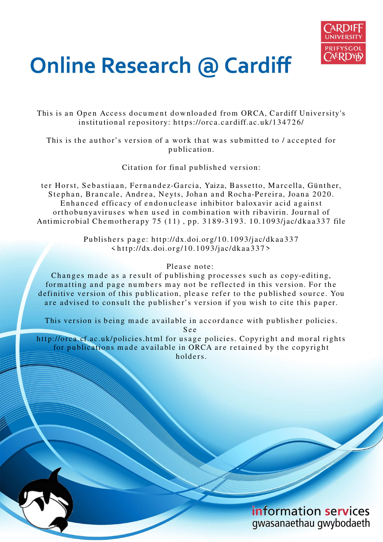

# **Online Research @ Cardiff**

This is an Open Access document downloaded from ORCA, Cardiff University's institutional repository: https://orca.cardiff.ac.uk/134726/

This is the author's version of a work that was submitted to / accepted for p u blication.

Citation for final published version:

ter Horst, Sebastiaan, Fernandez-Garcia, Yaiza, Bassetto, Marcella, Günther, Stephan, Brancale, Andrea, Neyts, Johan and Rocha-Pereira, Joana 2020. Enhanced efficacy of endonuclease inhibitor baloxavir acid against orthobunyaviruses when used in combination with ribavirin. Journal of Antimicrobial Chemotherapy 75 (11), pp. 3189-3193. 10.1093/jac/dkaa337 file

> Publishers page: http://dx.doi.org/10.1093/jac/dkaa337  $\langle \text{http://dx.doi.org/10.1093/jac/dkaa337>}$

## Please note:

Changes made as a result of publishing processes such as copy-editing, formatting and page numbers may not be reflected in this version. For the definitive version of this publication, please refer to the published source. You are advised to consult the publisher's version if you wish to cite this paper.

This version is being made available in accordance with publisher policies.

S e e

http://orca.cf.ac.uk/policies.html for usage policies. Copyright and moral rights for publications made available in ORCA are retained by the copyright holders.

> information services gwasanaethau gwybodaeth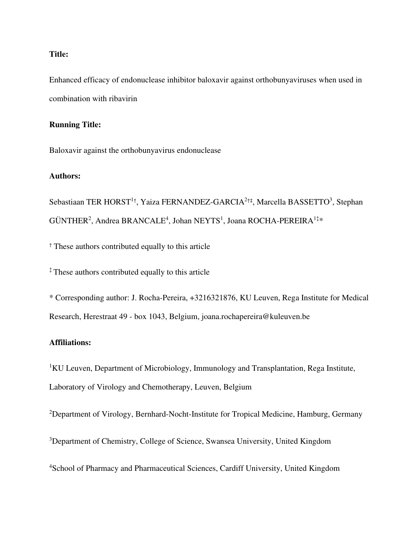## **Title:**

Enhanced efficacy of endonuclease inhibitor baloxavir against orthobunyaviruses when used in combination with ribavirin

## **Running Title:**

Baloxavir against the orthobunyavirus endonuclease

#### **Authors:**

Sebastiaan TER HORST<sup>1+</sup>, Yaiza FERNANDEZ-GARCIA<sup>2+‡</sup>, Marcella BASSETTO<sup>3</sup>, Stephan  $G\text{UNTHER}^2$ , Andrea BRANCALE<sup>4</sup>, Johan NEYTS<sup>1</sup>, Joana ROCHA-PEREIRA<sup>1‡</sup>\*

† These authors contributed equally to this article

‡ These authors contributed equally to this article

\* Corresponding author: J. Rocha-Pereira, +3216321876, KU Leuven, Rega Institute for Medical Research, Herestraat 49 - box 1043, Belgium, joana.rochapereira@kuleuven.be

## **Affiliations:**

<sup>1</sup>KU Leuven, Department of Microbiology, Immunology and Transplantation, Rega Institute, Laboratory of Virology and Chemotherapy, Leuven, Belgium

<sup>2</sup>Department of Virology, Bernhard-Nocht-Institute for Tropical Medicine, Hamburg, Germany

<sup>3</sup>Department of Chemistry, College of Science, Swansea University, United Kingdom

<sup>4</sup>School of Pharmacy and Pharmaceutical Sciences, Cardiff University, United Kingdom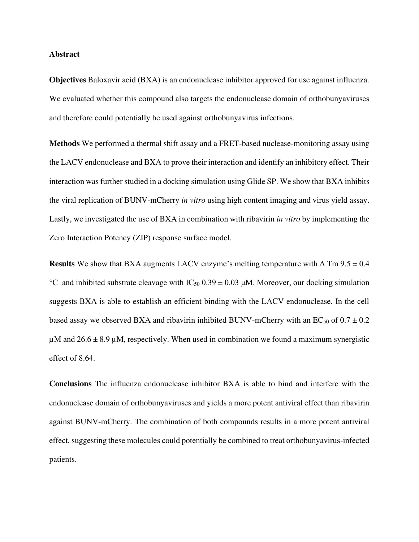#### **Abstract**

**Objectives** Baloxavir acid (BXA) is an endonuclease inhibitor approved for use against influenza. We evaluated whether this compound also targets the endonuclease domain of orthobunyaviruses and therefore could potentially be used against orthobunyavirus infections.

**Methods** We performed a thermal shift assay and a FRET-based nuclease-monitoring assay using the LACV endonuclease and BXA to prove their interaction and identify an inhibitory effect. Their interaction was further studied in a docking simulation using Glide SP. We show that BXA inhibits the viral replication of BUNV-mCherry *in vitro* using high content imaging and virus yield assay. Lastly, we investigated the use of BXA in combination with ribavirin *in vitro* by implementing the Zero Interaction Potency (ZIP) response surface model.

**Results** We show that BXA augments LACV enzyme's melting temperature with  $\Delta$  Tm 9.5  $\pm$  0.4 <sup>°</sup>C and inhibited substrate cleavage with  $IC_{50}$  0.39  $\pm$  0.03  $\mu$ M. Moreover, our docking simulation suggests BXA is able to establish an efficient binding with the LACV endonuclease. In the cell based assay we observed BXA and ribavirin inhibited BUNV-mCherry with an EC<sub>50</sub> of  $0.7 \pm 0.2$  $\mu$ M and 26.6  $\pm$  8.9  $\mu$ M, respectively. When used in combination we found a maximum synergistic effect of 8.64.

**Conclusions** The influenza endonuclease inhibitor BXA is able to bind and interfere with the endonuclease domain of orthobunyaviruses and yields a more potent antiviral effect than ribavirin against BUNV-mCherry. The combination of both compounds results in a more potent antiviral effect, suggesting these molecules could potentially be combined to treat orthobunyavirus-infected patients.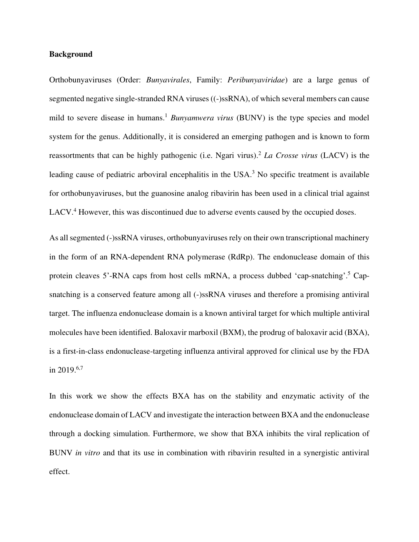#### **Background**

Orthobunyaviruses (Order: *Bunyavirales*, Family: *Peribunyaviridae*) are a large genus of segmented negative single-stranded RNA viruses ((-)ssRNA), of which several members can cause mild to severe disease in humans.<sup>1</sup> *Bunyamwera virus* (BUNV) is the type species and model system for the genus. Additionally, it is considered an emerging pathogen and is known to form reassortments that can be highly pathogenic (i.e. Ngari virus).<sup>2</sup> *La Crosse virus* (LACV) is the leading cause of pediatric arboviral encephalitis in the USA.<sup>3</sup> No specific treatment is available for orthobunyaviruses, but the guanosine analog ribavirin has been used in a clinical trial against LACV.<sup>4</sup> However, this was discontinued due to adverse events caused by the occupied doses.

As all segmented (-)ssRNA viruses, orthobunyaviruses rely on their own transcriptional machinery in the form of an RNA-dependent RNA polymerase (RdRp). The endonuclease domain of this protein cleaves 5'-RNA caps from host cells mRNA, a process dubbed 'cap-snatching'.<sup>5</sup> Capsnatching is a conserved feature among all (-)ssRNA viruses and therefore a promising antiviral target. The influenza endonuclease domain is a known antiviral target for which multiple antiviral molecules have been identified. Baloxavir marboxil (BXM), the prodrug of baloxavir acid (BXA), is a first-in-class endonuclease-targeting influenza antiviral approved for clinical use by the FDA in 2019. $6,7$ 

In this work we show the effects BXA has on the stability and enzymatic activity of the endonuclease domain of LACV and investigate the interaction between BXA and the endonuclease through a docking simulation. Furthermore, we show that BXA inhibits the viral replication of BUNV *in vitro* and that its use in combination with ribavirin resulted in a synergistic antiviral effect.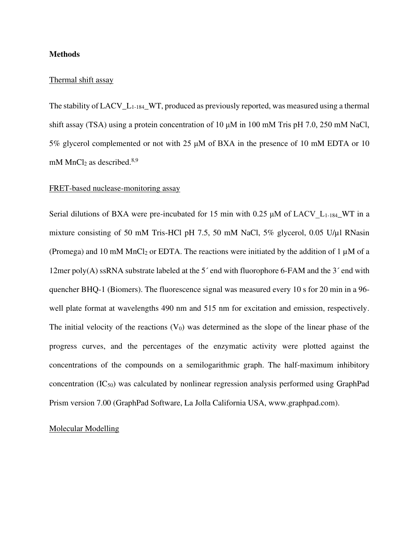#### **Methods**

#### Thermal shift assay

The stability of  $LACV_L_{1-184}$  WT, produced as previously reported, was measured using a thermal shift assay (TSA) using a protein concentration of 10  $\mu$ M in 100 mM Tris pH 7.0, 250 mM NaCl, 5% glycerol complemented or not with 25 μM of BXA in the presence of 10 mM EDTA or 10 mM MnCl<sub>2</sub> as described.<sup>8,9</sup>

## FRET-based nuclease-monitoring assay

Serial dilutions of BXA were pre-incubated for 15 min with 0.25  $\mu$ M of LACV L<sub>1-184</sub>\_WT in a mixture consisting of 50 mM Tris-HCl pH 7.5, 50 mM NaCl,  $5\%$  glycerol, 0.05 U/ $\mu$ l RNasin (Promega) and 10 mM MnCl<sub>2</sub> or EDTA. The reactions were initiated by the addition of 1  $\mu$ M of a 12mer poly(A) ssRNA substrate labeled at the 5 $^{\circ}$  end with fluorophore 6-FAM and the 3 $^{\circ}$  end with quencher BHQ-1 (Biomers). The fluorescence signal was measured every 10 s for 20 min in a 96 well plate format at wavelengths 490 nm and 515 nm for excitation and emission, respectively. The initial velocity of the reactions  $(V_0)$  was determined as the slope of the linear phase of the progress curves, and the percentages of the enzymatic activity were plotted against the concentrations of the compounds on a semilogarithmic graph. The half-maximum inhibitory concentration  $(IC_{50})$  was calculated by nonlinear regression analysis performed using GraphPad Prism version 7.00 (GraphPad Software, La Jolla California USA, www.graphpad.com).

#### Molecular Modelling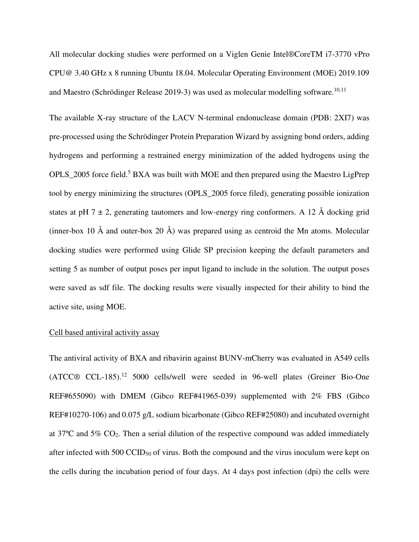All molecular docking studies were performed on a Viglen Genie Intel®CoreTM i7-3770 vPro CPU@ 3.40 GHz x 8 running Ubuntu 18.04. Molecular Operating Environment (MOE) 2019.109 and Maestro (Schrödinger Release 2019-3) was used as molecular modelling software.<sup>10,11</sup>

The available X-ray structure of the LACV N-terminal endonuclease domain (PDB: 2XI7) was pre-processed using the Schrödinger Protein Preparation Wizard by assigning bond orders, adding hydrogens and performing a restrained energy minimization of the added hydrogens using the OPLS\_2005 force field.<sup>5</sup> BXA was built with MOE and then prepared using the Maestro LigPrep tool by energy minimizing the structures (OPLS\_2005 force filed), generating possible ionization states at pH 7  $\pm$  2, generating tautomers and low-energy ring conformers. A 12 Å docking grid (inner-box 10  $\AA$  and outer-box 20  $\AA$ ) was prepared using as centroid the Mn atoms. Molecular docking studies were performed using Glide SP precision keeping the default parameters and setting 5 as number of output poses per input ligand to include in the solution. The output poses were saved as sdf file. The docking results were visually inspected for their ability to bind the active site, using MOE.

#### Cell based antiviral activity assay

The antiviral activity of BXA and ribavirin against BUNV-mCherry was evaluated in A549 cells  $(ATCC@ CCL-185).$ <sup>12</sup> 5000 cells/well were seeded in 96-well plates (Greiner Bio-One REF#655090) with DMEM (Gibco REF#41965-039) supplemented with 2% FBS (Gibco REF#10270-106) and 0.075 g/L sodium bicarbonate (Gibco REF#25080) and incubated overnight at 37ºC and 5% CO2. Then a serial dilution of the respective compound was added immediately after infected with 500 CCID<sub>50</sub> of virus. Both the compound and the virus inoculum were kept on the cells during the incubation period of four days. At 4 days post infection (dpi) the cells were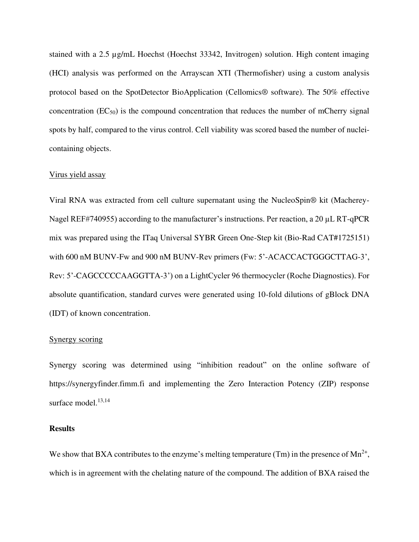stained with a 2.5 µg/mL Hoechst (Hoechst 33342, Invitrogen) solution. High content imaging (HCI) analysis was performed on the Arrayscan XTI (Thermofisher) using a custom analysis protocol based on the SpotDetector BioApplication (Cellomics® software). The 50% effective concentration  $(EC_{50})$  is the compound concentration that reduces the number of mCherry signal spots by half, compared to the virus control. Cell viability was scored based the number of nucleicontaining objects.

#### Virus yield assay

Viral RNA was extracted from cell culture supernatant using the NucleoSpin® kit (Macherey-Nagel REF#740955) according to the manufacturer's instructions. Per reaction, a 20 µL RT-qPCR mix was prepared using the ITaq Universal SYBR Green One-Step kit (Bio-Rad CAT#1725151) with 600 nM BUNV-Fw and 900 nM BUNV-Rev primers (Fw: 5'-ACACCACTGGGCTTAG-3', Rev: 5'-CAGCCCCCAAGGTTA-3') on a LightCycler 96 thermocycler (Roche Diagnostics). For absolute quantification, standard curves were generated using 10-fold dilutions of gBlock DNA (IDT) of known concentration.

#### Synergy scoring

Synergy scoring was determined using "inhibition readout" on the online software of https://synergyfinder.fimm.fi and implementing the Zero Interaction Potency (ZIP) response surface model. $13,14$ 

#### **Results**

We show that BXA contributes to the enzyme's melting temperature (Tm) in the presence of  $Mn^{2+}$ , which is in agreement with the chelating nature of the compound. The addition of BXA raised the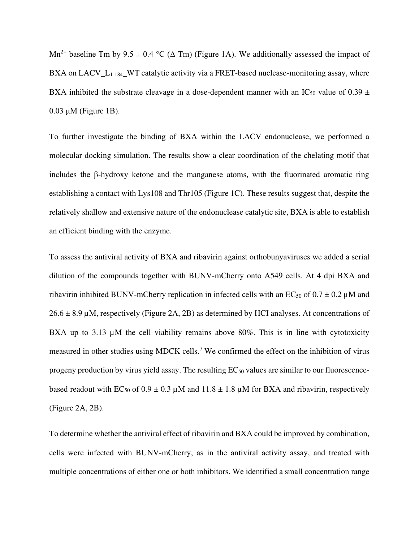Mn<sup>2+</sup> baseline Tm by  $9.5 \pm 0.4$  °C ( $\Delta$  Tm) (Figure 1A). We additionally assessed the impact of BXA on LACV<sub>L1-184</sub>\_WT catalytic activity via a FRET-based nuclease-monitoring assay, where BXA inhibited the substrate cleavage in a dose-dependent manner with an IC<sub>50</sub> value of 0.39  $\pm$ 0.03 μM (Figure 1B).

To further investigate the binding of BXA within the LACV endonuclease, we performed a molecular docking simulation. The results show a clear coordination of the chelating motif that includes the β-hydroxy ketone and the manganese atoms, with the fluorinated aromatic ring establishing a contact with Lys108 and Thr105 (Figure 1C). These results suggest that, despite the relatively shallow and extensive nature of the endonuclease catalytic site, BXA is able to establish an efficient binding with the enzyme.

To assess the antiviral activity of BXA and ribavirin against orthobunyaviruses we added a serial dilution of the compounds together with BUNV-mCherry onto A549 cells. At 4 dpi BXA and ribavirin inhibited BUNV-mCherry replication in infected cells with an EC<sub>50</sub> of  $0.7 \pm 0.2 \mu$ M and  $26.6 \pm 8.9 \,\mu$ M, respectively (Figure 2A, 2B) as determined by HCI analyses. At concentrations of BXA up to 3.13  $\mu$ M the cell viability remains above 80%. This is in line with cytotoxicity measured in other studies using MDCK cells.<sup>7</sup> We confirmed the effect on the inhibition of virus progeny production by virus yield assay. The resulting  $EC_{50}$  values are similar to our fluorescencebased readout with EC<sub>50</sub> of  $0.9 \pm 0.3 \mu$ M and  $11.8 \pm 1.8 \mu$ M for BXA and ribavirin, respectively (Figure 2A, 2B).

To determine whether the antiviral effect of ribavirin and BXA could be improved by combination, cells were infected with BUNV-mCherry, as in the antiviral activity assay, and treated with multiple concentrations of either one or both inhibitors. We identified a small concentration range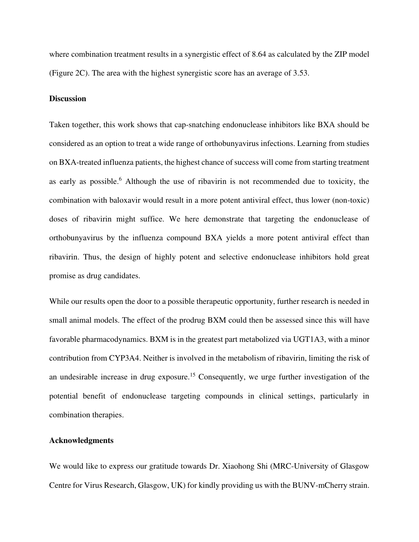where combination treatment results in a synergistic effect of 8.64 as calculated by the ZIP model (Figure 2C). The area with the highest synergistic score has an average of 3.53.

#### **Discussion**

Taken together, this work shows that cap-snatching endonuclease inhibitors like BXA should be considered as an option to treat a wide range of orthobunyavirus infections. Learning from studies on BXA-treated influenza patients, the highest chance of success will come from starting treatment as early as possible.<sup>6</sup> Although the use of ribavirin is not recommended due to toxicity, the combination with baloxavir would result in a more potent antiviral effect, thus lower (non-toxic) doses of ribavirin might suffice. We here demonstrate that targeting the endonuclease of orthobunyavirus by the influenza compound BXA yields a more potent antiviral effect than ribavirin. Thus, the design of highly potent and selective endonuclease inhibitors hold great promise as drug candidates.

While our results open the door to a possible therapeutic opportunity, further research is needed in small animal models. The effect of the prodrug BXM could then be assessed since this will have favorable pharmacodynamics. BXM is in the greatest part metabolized via UGT1A3, with a minor contribution from CYP3A4. Neither is involved in the metabolism of ribavirin, limiting the risk of an undesirable increase in drug exposure.<sup>15</sup> Consequently, we urge further investigation of the potential benefit of endonuclease targeting compounds in clinical settings, particularly in combination therapies.

#### **Acknowledgments**

We would like to express our gratitude towards Dr. Xiaohong Shi (MRC-University of Glasgow Centre for Virus Research, Glasgow, UK) for kindly providing us with the BUNV-mCherry strain.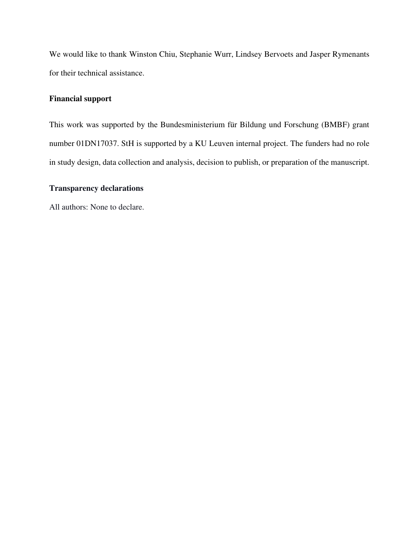We would like to thank Winston Chiu, Stephanie Wurr, Lindsey Bervoets and Jasper Rymenants for their technical assistance.

# **Financial support**

This work was supported by the Bundesministerium für Bildung und Forschung (BMBF) grant number 01DN17037. StH is supported by a KU Leuven internal project. The funders had no role in study design, data collection and analysis, decision to publish, or preparation of the manuscript.

## **Transparency declarations**

All authors: None to declare.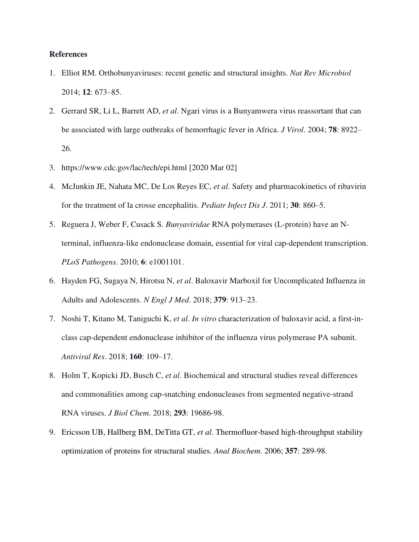#### **References**

- 1. Elliot RM. Orthobunyaviruses: recent genetic and structural insights. *Nat Rev Microbiol* 2014; **12**: 673–85.
- 2. Gerrard SR, Li L, Barrett AD, *et al*. Ngari virus is a Bunyamwera virus reassortant that can be associated with large outbreaks of hemorrhagic fever in Africa. *J Virol*. 2004; **78**: 8922– 26.
- 3. https://www.cdc.gov/lac/tech/epi.html [2020 Mar 02]
- 4. McJunkin JE, Nahata MC, De Los Reyes EC, *et al*. Safety and pharmacokinetics of ribavirin for the treatment of la crosse encephalitis. *Pediatr Infect Dis J*. 2011; **30**: 860–5.
- 5. Reguera J, Weber F, Cusack S. *Bunyaviridae* RNA polymerases (L-protein) have an Nterminal, influenza-like endonuclease domain, essential for viral cap-dependent transcription. *PLoS Pathogens*. 2010; **6**: e1001101.
- 6. Hayden FG, Sugaya N, Hirotsu N, *et al*. Baloxavir Marboxil for Uncomplicated Influenza in Adults and Adolescents. *N Engl J Med*. 2018; **379**: 913–23.
- 7. Noshi T, Kitano M, Taniguchi K, *et al*. *In vitro* characterization of baloxavir acid, a first-inclass cap-dependent endonuclease inhibitor of the influenza virus polymerase PA subunit. *Antiviral Res*. 2018; **160**: 109–17.
- 8. Holm T, Kopicki JD, Busch C, *et al*. Biochemical and structural studies reveal differences and commonalities among cap-snatching endonucleases from segmented negative-strand RNA viruses. *J Biol Chem*. 2018; **293**: 19686-98.
- 9. Ericsson UB, Hallberg BM, DeTitta GT, *et al*. Thermofluor-based high-throughput stability optimization of proteins for structural studies. *Anal Biochem*. 2006; **357**: 289-98.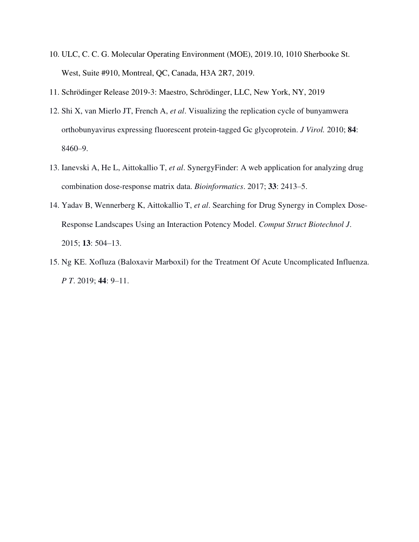- 10. ULC, C. C. G. Molecular Operating Environment (MOE), 2019.10, 1010 Sherbooke St. West, Suite #910, Montreal, QC, Canada, H3A 2R7, 2019.
- 11. Schrödinger Release 2019-3: Maestro, Schrödinger, LLC, New York, NY, 2019
- 12. Shi X, van Mierlo JT, French A, *et al*. Visualizing the replication cycle of bunyamwera orthobunyavirus expressing fluorescent protein-tagged Gc glycoprotein. *J Virol.* 2010; **84**: 8460–9.
- 13. Ianevski A, He L, Aittokallio T, *et al*. SynergyFinder: A web application for analyzing drug combination dose-response matrix data. *Bioinformatics*. 2017; **33**: 2413–5.
- 14. Yadav B, Wennerberg K, Aittokallio T, *et al*. Searching for Drug Synergy in Complex Dose-Response Landscapes Using an Interaction Potency Model. *Comput Struct Biotechnol J*. 2015; **13**: 504–13.
- 15. Ng KE. Xofluza (Baloxavir Marboxil) for the Treatment Of Acute Uncomplicated Influenza. *P T*. 2019; **44**: 9–11.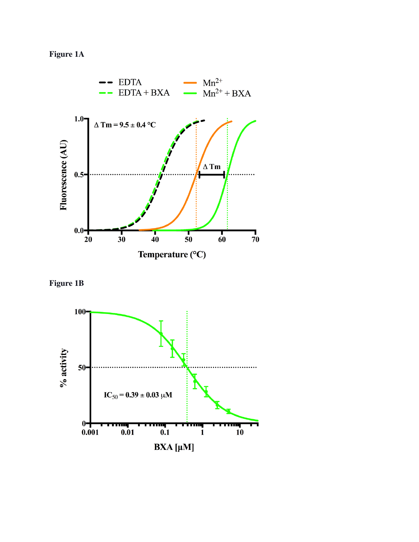**Figure 1A** 





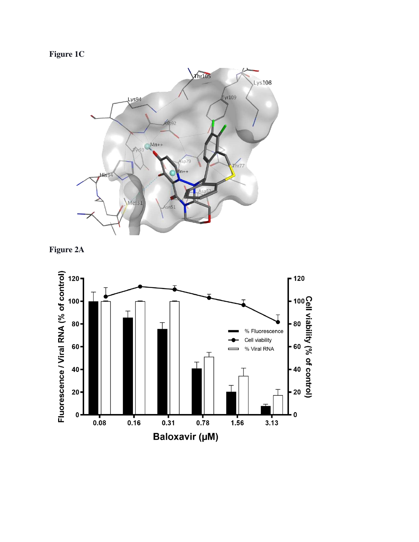**Figure 1C** 





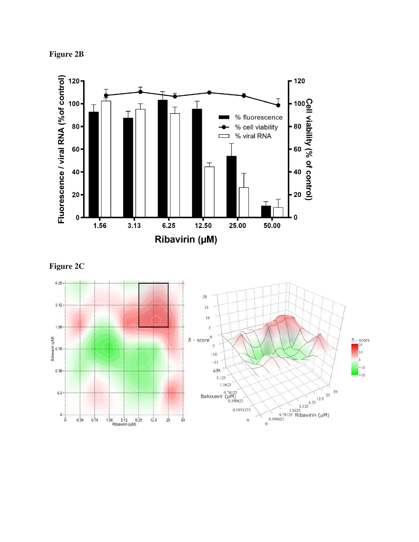**Figure 2B** 



**Figure 2C** 

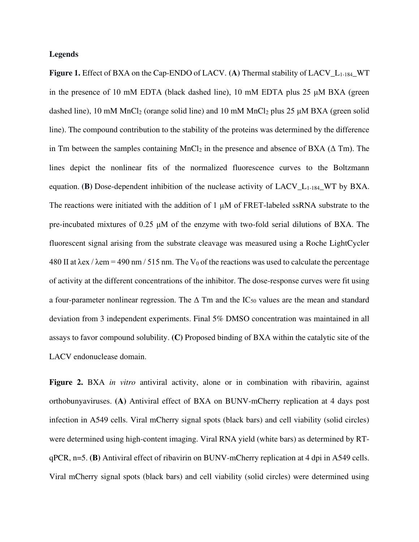#### **Legends**

**Figure 1.** Effect of BXA on the Cap-ENDO of LACV. **(A)** Thermal stability of LACV\_L1-184\_WT in the presence of 10 mM EDTA (black dashed line), 10 mM EDTA plus 25  $\mu$ M BXA (green dashed line), 10 mM MnCl<sub>2</sub> (orange solid line) and 10 mM MnCl<sub>2</sub> plus 25  $\mu$ M BXA (green solid line). The compound contribution to the stability of the proteins was determined by the difference in Tm between the samples containing MnCl<sub>2</sub> in the presence and absence of BXA ( $\Delta$  Tm). The lines depict the nonlinear fits of the normalized fluorescence curves to the Boltzmann equation. **(B)** Dose-dependent inhibition of the nuclease activity of LACV<sub>L<sub>1-184</sub> WT by BXA.</sub> The reactions were initiated with the addition of 1 μM of FRET-labeled ssRNA substrate to the pre-incubated mixtures of 0.25 μM of the enzyme with two-fold serial dilutions of BXA. The fluorescent signal arising from the substrate cleavage was measured using a Roche LightCycler 480 II at  $\lambda$ ex /  $\lambda$ em = 490 nm / 515 nm. The V<sub>0</sub> of the reactions was used to calculate the percentage of activity at the different concentrations of the inhibitor. The dose-response curves were fit using a four-parameter nonlinear regression. The  $\Delta$  Tm and the IC<sub>50</sub> values are the mean and standard deviation from 3 independent experiments. Final 5% DMSO concentration was maintained in all assays to favor compound solubility. **(C)** Proposed binding of BXA within the catalytic site of the LACV endonuclease domain.

**Figure 2.** BXA *in vitro* antiviral activity, alone or in combination with ribavirin, against orthobunyaviruses. **(A)** Antiviral effect of BXA on BUNV-mCherry replication at 4 days post infection in A549 cells. Viral mCherry signal spots (black bars) and cell viability (solid circles) were determined using high-content imaging. Viral RNA yield (white bars) as determined by RTqPCR, n=5. **(B)** Antiviral effect of ribavirin on BUNV-mCherry replication at 4 dpi in A549 cells. Viral mCherry signal spots (black bars) and cell viability (solid circles) were determined using